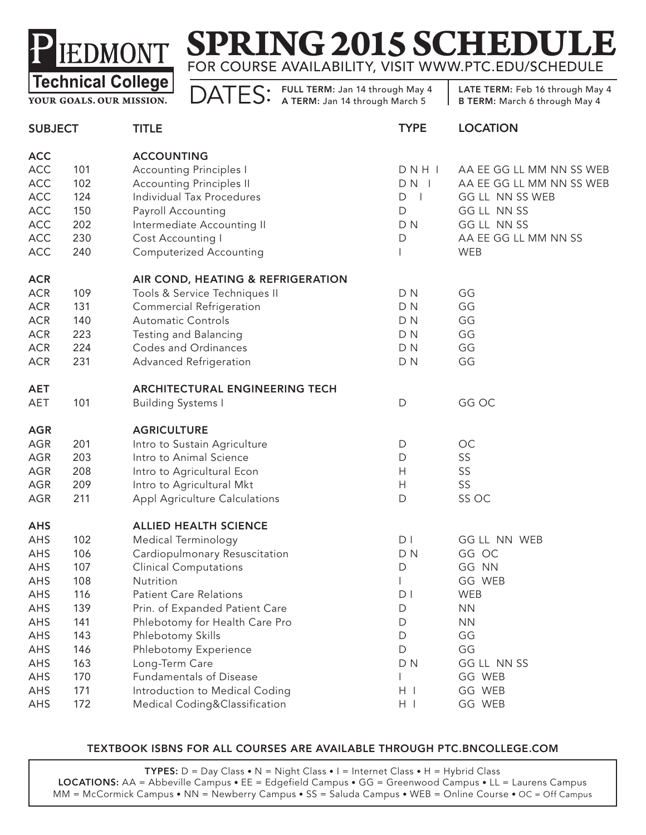# **SPRING 2015 SCHEDUI** FOR COURSE AVAILABILITY, VISIT WWW.PTC.EDU/SCHEDULE

**YOUR GOALS. OUR MISSION.**

DATES: FULL TERM: Jan 14 through May 4

LATE TERM: Feb 16 through May 4 B TERM: March 6 through May 4

| <b>SUBJECT</b> |     | <b>TITLE</b>                          | <b>TYPE</b>       | <b>LOCATION</b>          |
|----------------|-----|---------------------------------------|-------------------|--------------------------|
| <b>ACC</b>     |     | <b>ACCOUNTING</b>                     |                   |                          |
| ACC            | 101 | <b>Accounting Principles I</b>        | DNHI              | AA EE GG LL MM NN SS WEB |
| ACC            | 102 | <b>Accounting Principles II</b>       | $DN$              | AA EE GG LL MM NN SS WEB |
| ACC            | 124 | Individual Tax Procedures             | D<br>$\mathbf{I}$ | GG LL NN SS WEB          |
| ACC            | 150 | Payroll Accounting                    | D                 | GG LL NN SS              |
| ACC            | 202 | Intermediate Accounting II            | D <sub>N</sub>    | GG LL NN SS              |
| ACC            | 230 | Cost Accounting I                     | D                 | AA EE GG LL MM NN SS     |
| <b>ACC</b>     | 240 | <b>Computerized Accounting</b>        |                   | <b>WEB</b>               |
| <b>ACR</b>     |     | AIR COND, HEATING & REFRIGERATION     |                   |                          |
| <b>ACR</b>     | 109 | Tools & Service Techniques II         | DN                | GG                       |
| <b>ACR</b>     | 131 | <b>Commercial Refrigeration</b>       | D <sub>N</sub>    | GG                       |
| <b>ACR</b>     | 140 | <b>Automatic Controls</b>             | D <sub>N</sub>    | GG                       |
| <b>ACR</b>     | 223 | Testing and Balancing                 | D <sub>N</sub>    | GG                       |
| <b>ACR</b>     | 224 | <b>Codes and Ordinances</b>           | D <sub>N</sub>    | GG                       |
| <b>ACR</b>     | 231 | Advanced Refrigeration                | D <sub>N</sub>    | GG                       |
| <b>AET</b>     |     | <b>ARCHITECTURAL ENGINEERING TECH</b> |                   |                          |
| AET            | 101 | <b>Building Systems I</b>             | $\mathsf{D}$      | GG OC                    |
| <b>AGR</b>     |     | <b>AGRICULTURE</b>                    |                   |                          |
| AGR            | 201 | Intro to Sustain Agriculture          | $\mathsf{D}$      | OC                       |
| AGR            | 203 | Intro to Animal Science               | $\mathsf{D}$      | SS                       |
| AGR            | 208 | Intro to Agricultural Econ            | H                 | SS                       |
| AGR            | 209 | Intro to Agricultural Mkt             | H                 | SS                       |
| AGR            | 211 | Appl Agriculture Calculations         | $\mathsf{D}$      | SS OC                    |
| <b>AHS</b>     |     | <b>ALLIED HEALTH SCIENCE</b>          |                   |                          |
| AHS            | 102 | <b>Medical Terminology</b>            | D <sub>1</sub>    | GG LL NN WEB             |
| AHS            | 106 | Cardiopulmonary Resuscitation         | DN                | GG OC                    |
| AHS            | 107 | <b>Clinical Computations</b>          | D                 | GG NN                    |
| AHS            | 108 | Nutrition                             |                   | GG WEB                   |
| AHS            | 116 | <b>Patient Care Relations</b>         | D <sub>1</sub>    | WEB                      |
| AHS            | 139 | Prin. of Expanded Patient Care        | D                 | <b>NN</b>                |
| AHS            | 141 | Phlebotomy for Health Care Pro        | D                 | <b>NN</b>                |
| AHS            | 143 | Phlebotomy Skills                     | D                 | GG                       |
| AHS            | 146 | Phlebotomy Experience                 | D                 | GG                       |
| AHS            | 163 | Long-Term Care                        | D N               | GG LL NN SS              |
| AHS            | 170 | Fundamentals of Disease               |                   | GG WEB                   |
| AHS            | 171 | Introduction to Medical Coding        | $H$ $\perp$       | GG WEB                   |
| AHS            | 172 | Medical Coding&Classification         | $H$               | GG WEB                   |

#### TEXTBOOK ISBNS FOR ALL COURSES ARE AVAILABLE THROUGH PTC.BNCOLLEGE.COM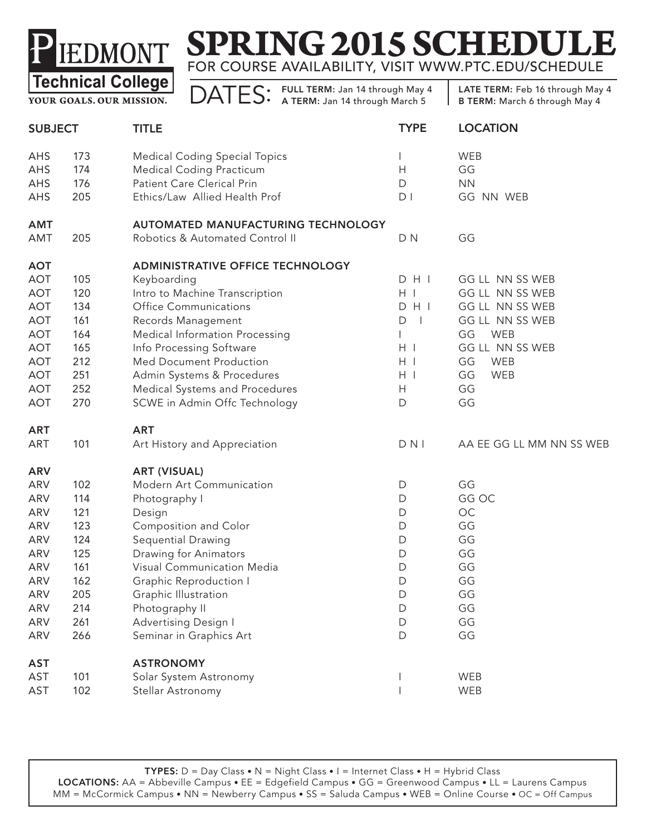# **SPRING 2015 SCHEDULE** FOR COURSE AVAILABILITY, VISIT WWW.PTC.EDU/SCHEDULE

**YOUR GOALS. OUR MISSION.**

DATES: FULL TERM: Jan 14 through May 4

| <b>SUBJECT</b> |     | <b>TITLE</b>                            | <b>TYPE</b>                   | <b>LOCATION</b>          |  |
|----------------|-----|-----------------------------------------|-------------------------------|--------------------------|--|
| AHS            | 173 | <b>Medical Coding Special Topics</b>    |                               | WEB                      |  |
| AHS            | 174 | <b>Medical Coding Practicum</b>         | H                             | GG                       |  |
| AHS            | 176 | Patient Care Clerical Prin              | D                             | <b>NN</b>                |  |
| AHS            | 205 | Ethics/Law Allied Health Prof           | D <sub>1</sub>                | GG NN WEB                |  |
| <b>AMT</b>     |     | AUTOMATED MANUFACTURING TECHNOLOGY      |                               |                          |  |
| AMT            | 205 | Robotics & Automated Control II         | D <sub>N</sub>                | GG                       |  |
| <b>AOT</b>     |     | <b>ADMINISTRATIVE OFFICE TECHNOLOGY</b> |                               |                          |  |
| <b>AOT</b>     | 105 | Keyboarding                             | $D$ H I                       | GG LL NN SS WEB          |  |
| <b>AOT</b>     | 120 | Intro to Machine Transcription          | $H$                           | GG LL NN SS WEB          |  |
| <b>AOT</b>     | 134 | Office Communications                   | $D$ H $I$                     | GG LL NN SS WEB          |  |
| <b>AOT</b>     | 161 | Records Management                      | $\overline{\phantom{a}}$<br>D | GG LL NN SS WEB          |  |
| <b>AOT</b>     | 164 | Medical Information Processing          |                               | WEB<br>GG                |  |
| <b>AOT</b>     | 165 | Info Processing Software                | $H$                           | GG LL NN SS WEB          |  |
| <b>AOT</b>     | 212 | <b>Med Document Production</b>          | $H$                           | GG<br>WEB                |  |
| <b>AOT</b>     | 251 | Admin Systems & Procedures              | $H$                           | GG<br>WEB                |  |
| <b>AOT</b>     | 252 | Medical Systems and Procedures          | Н                             | GG                       |  |
| <b>AOT</b>     | 270 | SCWE in Admin Offc Technology           | $\mathsf{D}$                  | GG                       |  |
| <b>ART</b>     |     | <b>ART</b>                              |                               |                          |  |
| ART            | 101 | Art History and Appreciation            | $D$ N I                       | AA EE GG LL MM NN SS WEB |  |
| <b>ARV</b>     |     | <b>ART (VISUAL)</b>                     |                               |                          |  |
| ARV            | 102 | Modern Art Communication                | D                             | GG                       |  |
| ARV            | 114 | Photography I                           | D                             | GG OC                    |  |
| ARV            | 121 | Design                                  | $\mathsf{D}$                  | OC                       |  |
| ARV            | 123 | Composition and Color                   | $\mathsf{D}$                  | GG                       |  |
| ARV            | 124 | Sequential Drawing                      | D                             | GG                       |  |
| ARV            | 125 | Drawing for Animators                   | D                             | GG                       |  |
| ARV            | 161 | Visual Communication Media              | D                             | GG                       |  |
| ARV            | 162 | Graphic Reproduction I                  | $\mathsf{D}$                  | GG                       |  |
| ARV            | 205 | Graphic Illustration                    | D                             | GG                       |  |
| ARV            | 214 | Photography II                          | $\mathsf{D}$                  | GG                       |  |
| ARV            | 261 | Advertising Design I                    | $\mathsf{D}$                  | GG                       |  |
| ARV            | 266 | Seminar in Graphics Art                 | $\mathsf{D}$                  | GG                       |  |
| <b>AST</b>     |     | <b>ASTRONOMY</b>                        |                               |                          |  |
| AST            | 101 | Solar System Astronomy                  | $\mathbf{I}$                  | WEB                      |  |
| AST            | 102 | Stellar Astronomy                       |                               | WEB                      |  |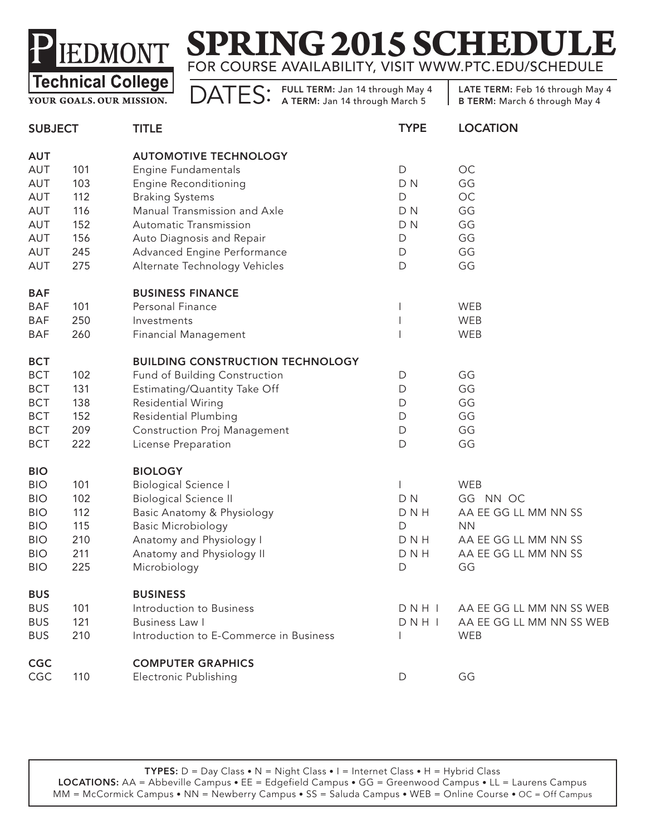

**YOUR GOALS. OUR MISSION.**

DATES: FULL TERM: Jan 14 through May 4

| <b>SUBJECT</b> |     | <b>TITLE</b>                            | <b>TYPE</b>    | <b>LOCATION</b>          |
|----------------|-----|-----------------------------------------|----------------|--------------------------|
| <b>AUT</b>     |     | <b>AUTOMOTIVE TECHNOLOGY</b>            |                |                          |
| AUT            | 101 | Engine Fundamentals                     | $\mathsf D$    | OC                       |
| AUT            | 103 | <b>Engine Reconditioning</b>            | D <sub>N</sub> | GG                       |
| AUT            | 112 | <b>Braking Systems</b>                  | D              | OC                       |
| AUT            | 116 | Manual Transmission and Axle            | D <sub>N</sub> | GG                       |
| AUT            | 152 | Automatic Transmission                  | D <sub>N</sub> | GG                       |
| AUT            | 156 | Auto Diagnosis and Repair               | D              | GG                       |
| AUT            | 245 | Advanced Engine Performance             | D              | GG                       |
| AUT            | 275 | Alternate Technology Vehicles           | $\mathsf D$    | GG                       |
| <b>BAF</b>     |     | <b>BUSINESS FINANCE</b>                 |                |                          |
| <b>BAF</b>     | 101 | Personal Finance                        |                | WEB                      |
| <b>BAF</b>     | 250 | Investments                             |                | WEB                      |
| BAF            | 260 | <b>Financial Management</b>             |                | WEB                      |
| <b>BCT</b>     |     | <b>BUILDING CONSTRUCTION TECHNOLOGY</b> |                |                          |
| <b>BCT</b>     | 102 | Fund of Building Construction           | D              | GG                       |
| <b>BCT</b>     | 131 | Estimating/Quantity Take Off            | D              | GG                       |
| <b>BCT</b>     | 138 | Residential Wiring                      | D              | GG                       |
| <b>BCT</b>     | 152 | <b>Residential Plumbing</b>             | D              | GG                       |
| <b>BCT</b>     | 209 | <b>Construction Proj Management</b>     | D              | GG                       |
| <b>BCT</b>     | 222 | License Preparation                     | $\mathsf D$    | GG                       |
| <b>BIO</b>     |     | <b>BIOLOGY</b>                          |                |                          |
| <b>BIO</b>     | 101 | <b>Biological Science I</b>             |                | <b>WEB</b>               |
| <b>BIO</b>     | 102 | <b>Biological Science II</b>            | D <sub>N</sub> | GG NN OC                 |
| <b>BIO</b>     | 112 | Basic Anatomy & Physiology              | <b>DNH</b>     | AA EE GG LL MM NN SS     |
| <b>BIO</b>     | 115 | <b>Basic Microbiology</b>               | D              | <b>NN</b>                |
| <b>BIO</b>     | 210 | Anatomy and Physiology I                | <b>DNH</b>     | AA EE GG LL MM NN SS     |
| <b>BIO</b>     | 211 | Anatomy and Physiology II               | <b>DNH</b>     | AA EE GG LL MM NN SS     |
| <b>BIO</b>     | 225 | Microbiology                            | D              | GG                       |
| <b>BUS</b>     |     | <b>BUSINESS</b>                         |                |                          |
| <b>BUS</b>     | 101 | Introduction to Business                | DNHI           | AA EE GG LL MM NN SS WEB |
| <b>BUS</b>     | 121 | <b>Business Law I</b>                   | DNHI           | AA EE GG LL MM NN SS WEB |
| <b>BUS</b>     | 210 | Introduction to E-Commerce in Business  |                | WEB                      |
| <b>CGC</b>     |     | <b>COMPUTER GRAPHICS</b>                |                |                          |
| CGC            | 110 | Electronic Publishing                   | D              | GG                       |
|                |     |                                         |                |                          |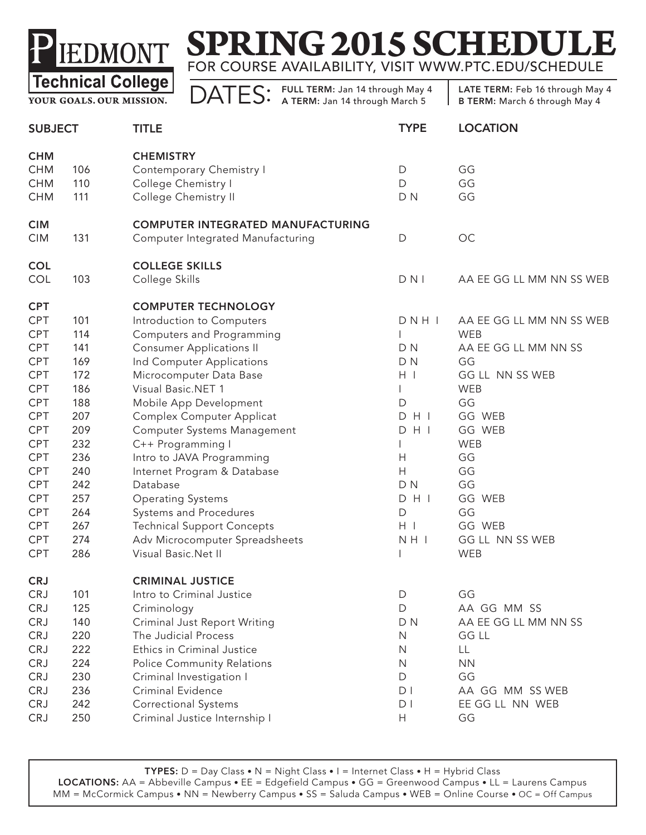

**YOUR GOALS. OUR MISSION.**

DATES: FULL TERM: Jan 14 through May 4

| <b>SUBJECT</b>                                                                                                                                                                                   |                                                                                                                            | <b>TITLE</b>                                                                                                                                                                                                                                                                                                                                                                                                                                                                                                                                 | <b>TYPE</b>                                                                                                         | <b>LOCATION</b>                                                                                                                                                                                              |  |
|--------------------------------------------------------------------------------------------------------------------------------------------------------------------------------------------------|----------------------------------------------------------------------------------------------------------------------------|----------------------------------------------------------------------------------------------------------------------------------------------------------------------------------------------------------------------------------------------------------------------------------------------------------------------------------------------------------------------------------------------------------------------------------------------------------------------------------------------------------------------------------------------|---------------------------------------------------------------------------------------------------------------------|--------------------------------------------------------------------------------------------------------------------------------------------------------------------------------------------------------------|--|
| <b>CHM</b><br>CHM<br><b>CHM</b><br><b>CHM</b>                                                                                                                                                    | 106<br>110<br>111                                                                                                          | <b>CHEMISTRY</b><br>Contemporary Chemistry I<br>College Chemistry I<br>College Chemistry II                                                                                                                                                                                                                                                                                                                                                                                                                                                  | D<br>$\mathsf D$<br>D <sub>N</sub>                                                                                  | GG<br>GG<br>GG                                                                                                                                                                                               |  |
| <b>CIM</b><br><b>CIM</b>                                                                                                                                                                         | 131                                                                                                                        | <b>COMPUTER INTEGRATED MANUFACTURING</b><br>Computer Integrated Manufacturing                                                                                                                                                                                                                                                                                                                                                                                                                                                                | $\mathsf{D}$                                                                                                        | OC                                                                                                                                                                                                           |  |
| <b>COL</b><br>COL                                                                                                                                                                                | 103                                                                                                                        | <b>COLLEGE SKILLS</b><br>College Skills                                                                                                                                                                                                                                                                                                                                                                                                                                                                                                      | $D$ N I                                                                                                             | AA EE GG LL MM NN SS WEB                                                                                                                                                                                     |  |
| <b>CPT</b><br>CPT<br><b>CPT</b><br><b>CPT</b><br>CPT<br><b>CPT</b><br>CPT<br>CPT<br>CPT<br>CPT<br>CPT<br><b>CPT</b><br><b>CPT</b><br>CPT<br>CPT<br>CPT<br><b>CPT</b><br><b>CPT</b><br><b>CPT</b> | 101<br>114<br>141<br>169<br>172<br>186<br>188<br>207<br>209<br>232<br>236<br>240<br>242<br>257<br>264<br>267<br>274<br>286 | <b>COMPUTER TECHNOLOGY</b><br>Introduction to Computers<br>Computers and Programming<br><b>Consumer Applications II</b><br>Ind Computer Applications<br>Microcomputer Data Base<br>Visual Basic.NET 1<br>Mobile App Development<br>Complex Computer Applicat<br>Computer Systems Management<br>C++ Programming I<br>Intro to JAVA Programming<br>Internet Program & Database<br>Database<br><b>Operating Systems</b><br>Systems and Procedures<br><b>Technical Support Concepts</b><br>Adv Microcomputer Spreadsheets<br>Visual Basic.Net II | DNHI<br>D <sub>N</sub><br>D N<br>$H$  <br>D<br>$D$ H I<br>$D$ H I<br>Н<br>H<br>D N<br>$D$ H I<br>D<br>$H$  <br>NH I | AA EE GG LL MM NN SS WEB<br><b>WEB</b><br>AA EE GG LL MM NN SS<br>GG<br>GG LL NN SS WEB<br>WEB<br>GG<br>GG WEB<br>GG WEB<br><b>WEB</b><br>GG<br>GG<br>GG<br>GG WEB<br>GG<br>GG WEB<br>GG LL NN SS WEB<br>WEB |  |
| <b>CRJ</b><br><b>CRJ</b><br><b>CRJ</b><br><b>CRJ</b><br><b>CRJ</b><br>CRJ<br><b>CRJ</b><br><b>CRJ</b><br><b>CRJ</b><br><b>CRJ</b><br><b>CRJ</b>                                                  | 101<br>125<br>140<br>220<br>222<br>224<br>230<br>236<br>242<br>250                                                         | <b>CRIMINAL JUSTICE</b><br>Intro to Criminal Justice<br>Criminology<br>Criminal Just Report Writing<br>The Judicial Process<br>Ethics in Criminal Justice<br><b>Police Community Relations</b><br>Criminal Investigation I<br>Criminal Evidence<br><b>Correctional Systems</b><br>Criminal Justice Internship I                                                                                                                                                                                                                              | D.<br>$\mathsf{D}$<br>D <sub>N</sub><br>N<br>N<br>N<br>D<br>D <sub>1</sub><br>D <sub>1</sub><br>Н                   | GG<br>AA GG MM SS<br>AA EE GG LL MM NN SS<br>GG LL<br>LL<br><b>NN</b><br>GG<br>AA GG MM SS WEB<br>EE GG LL NN WEB<br>GG                                                                                      |  |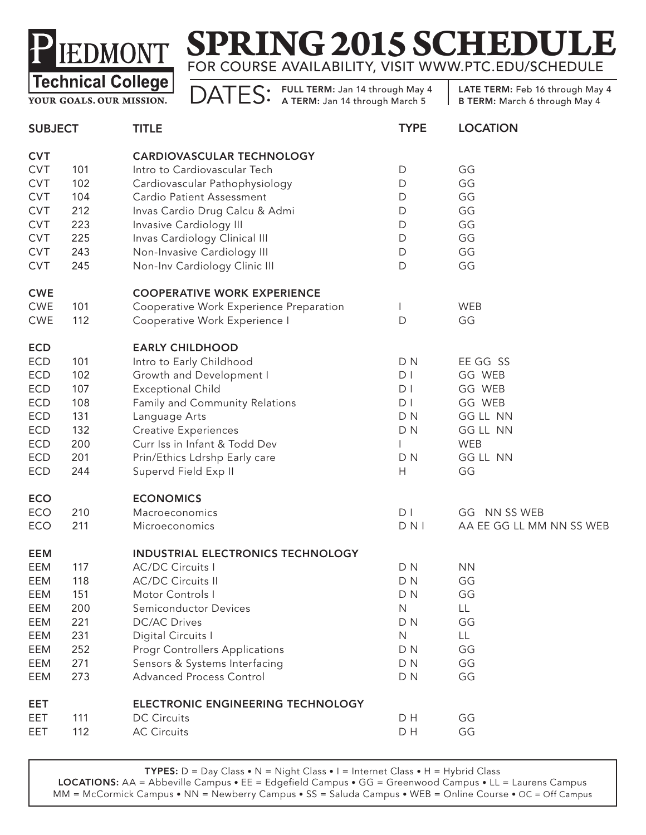

**YOUR GOALS. OUR MISSION.**

DATES: FULL TERM: Jan 14 through May 4

LATE TERM: Feb 16 through May 4 B TERM: March 6 through May 4

| <b>SUBJECT</b> |     | <b>TITLE</b>                            | <b>TYPE</b>    | <b>LOCATION</b>          |
|----------------|-----|-----------------------------------------|----------------|--------------------------|
| <b>CVT</b>     |     | <b>CARDIOVASCULAR TECHNOLOGY</b>        |                |                          |
| <b>CVT</b>     | 101 | Intro to Cardiovascular Tech            | D              | GG                       |
| <b>CVT</b>     | 102 | Cardiovascular Pathophysiology          | $\mathsf D$    | GG                       |
| <b>CVT</b>     | 104 | Cardio Patient Assessment               | D              | GG                       |
| <b>CVT</b>     | 212 | Invas Cardio Drug Calcu & Admi          | D              | GG                       |
| <b>CVT</b>     | 223 | Invasive Cardiology III                 | $\mathsf D$    | GG                       |
| <b>CVT</b>     | 225 | Invas Cardiology Clinical III           | D              | GG                       |
| <b>CVT</b>     | 243 | Non-Invasive Cardiology III             | D              | GG                       |
| <b>CVT</b>     | 245 | Non-Inv Cardiology Clinic III           | D              | GG                       |
| <b>CWE</b>     |     | <b>COOPERATIVE WORK EXPERIENCE</b>      |                |                          |
| <b>CWE</b>     | 101 | Cooperative Work Experience Preparation | $\mathbf{I}$   | <b>WEB</b>               |
| <b>CWE</b>     | 112 | Cooperative Work Experience I           | D              | GG                       |
| <b>ECD</b>     |     | <b>EARLY CHILDHOOD</b>                  |                |                          |
| <b>ECD</b>     | 101 | Intro to Early Childhood                | D <sub>N</sub> | EE GG SS                 |
| ECD            | 102 | Growth and Development I                | D <sub>1</sub> | GG WEB                   |
| ECD            | 107 | <b>Exceptional Child</b>                | D <sub>1</sub> | GG WEB                   |
| ECD            | 108 | Family and Community Relations          | D <sub>1</sub> | GG WEB                   |
| ECD            | 131 | Language Arts                           | D <sub>N</sub> | <b>GG LL NN</b>          |
| ECD            | 132 | <b>Creative Experiences</b>             | D <sub>N</sub> | GG LL NN                 |
| <b>ECD</b>     | 200 | Curr Iss in Infant & Todd Dev           |                | <b>WEB</b>               |
| <b>ECD</b>     | 201 | Prin/Ethics Ldrshp Early care           | D <sub>N</sub> | <b>GG LL NN</b>          |
| ECD            | 244 | Supervd Field Exp II                    | Н              | GG                       |
| <b>ECO</b>     |     | <b>ECONOMICS</b>                        |                |                          |
| ECO            | 210 | Macroeconomics                          | D <sub>1</sub> | GG NN SS WEB             |
| ECO            | 211 | Microeconomics                          | $D$ N I        | AA EE GG LL MM NN SS WEB |
| <b>EEM</b>     |     | INDUSTRIAL ELECTRONICS TECHNOLOGY       |                |                          |
| EEM            | 117 | <b>AC/DC Circuits I</b>                 | D <sub>N</sub> | <b>NN</b>                |
| EEM            | 118 | <b>AC/DC Circuits II</b>                | D <sub>N</sub> | GG                       |
| EEM            | 151 | Motor Controls I                        | D N            | GG                       |
| EEM            | 200 | Semiconductor Devices                   | N              | LL                       |
| EEM            | 221 | <b>DC/AC Drives</b>                     | D <sub>N</sub> | GG                       |
| EEM            | 231 | Digital Circuits I                      | $\mathsf{N}$   | LL                       |
| EEM            | 252 | <b>Progr Controllers Applications</b>   | D <sub>N</sub> | GG                       |
| EEM            | 271 | Sensors & Systems Interfacing           | D <sub>N</sub> | GG                       |
| EEM            | 273 | Advanced Process Control                | D <sub>N</sub> | GG                       |
| EET            |     | ELECTRONIC ENGINEERING TECHNOLOGY       |                |                          |
| EET            | 111 | <b>DC Circuits</b>                      | D H            | GG                       |
| EET            | 112 | <b>AC Circuits</b>                      | D H            | GG                       |
|                |     |                                         |                |                          |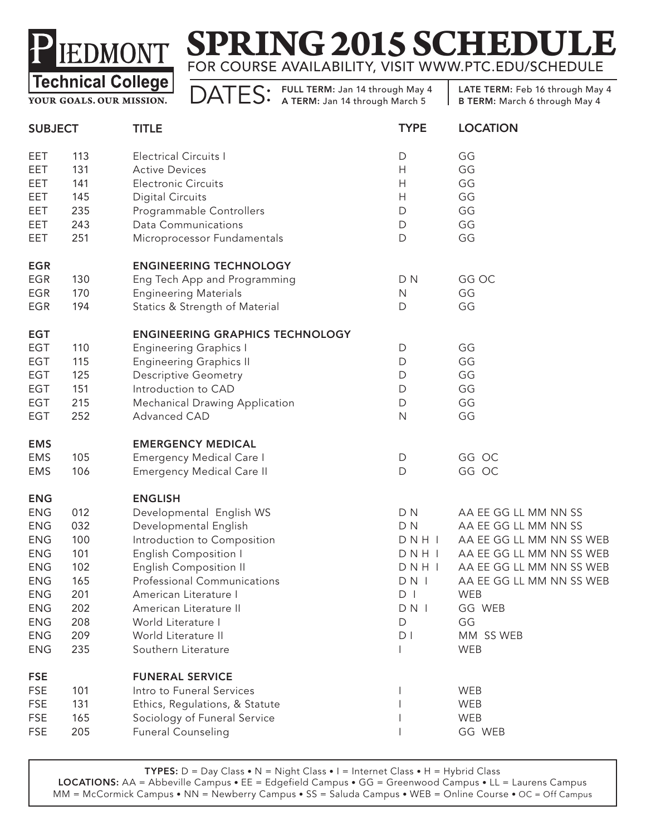# **SPRING 2015 SCHEDULE** FOR COURSE AVAILABILITY, VISIT WWW.PTC.EDU/SCHEDULE

**YOUR GOALS. OUR MISSION.**

DATES: FULL TERM: Jan 14 through May 4

LATE TERM: Feb 16 through May 4 B TERM: March 6 through May 4

| <b>SUBJECT</b> |     | <b>TITLE</b>                           | <b>TYPE</b>    | <b>LOCATION</b>          |
|----------------|-----|----------------------------------------|----------------|--------------------------|
| EET            | 113 | <b>Electrical Circuits I</b>           | $\mathsf D$    | GG                       |
| EET            | 131 | <b>Active Devices</b>                  | H              | GG                       |
| EET            | 141 | <b>Electronic Circuits</b>             | H              | GG                       |
| EET            | 145 | <b>Digital Circuits</b>                | H              | GG                       |
| EET            | 235 | Programmable Controllers               | D              | GG                       |
| EET            | 243 | <b>Data Communications</b>             | $\mathsf D$    | GG                       |
| EET            | 251 | Microprocessor Fundamentals            | $\mathsf D$    | GG                       |
| <b>EGR</b>     |     | <b>ENGINEERING TECHNOLOGY</b>          |                |                          |
| <b>EGR</b>     | 130 | Eng Tech App and Programming           | D <sub>N</sub> | GG OC                    |
| <b>EGR</b>     | 170 | <b>Engineering Materials</b>           | N              | GG                       |
| <b>EGR</b>     | 194 | Statics & Strength of Material         | D              | GG                       |
| <b>EGT</b>     |     | <b>ENGINEERING GRAPHICS TECHNOLOGY</b> |                |                          |
| EGT            | 110 | <b>Engineering Graphics I</b>          | D              | GG                       |
| EGT            | 115 | <b>Engineering Graphics II</b>         | D              | GG                       |
| EGT            | 125 | <b>Descriptive Geometry</b>            | D              | GG                       |
| EGT            | 151 | Introduction to CAD                    | D              | GG                       |
| EGT            | 215 | <b>Mechanical Drawing Application</b>  | $\mathsf D$    | GG                       |
| <b>EGT</b>     | 252 | Advanced CAD                           | $\mathsf{N}$   | GG                       |
| <b>EMS</b>     |     | <b>EMERGENCY MEDICAL</b>               |                |                          |
| <b>EMS</b>     | 105 | <b>Emergency Medical Care I</b>        | D              | GG OC                    |
| <b>EMS</b>     | 106 | <b>Emergency Medical Care II</b>       | D              | GG OC                    |
| <b>ENG</b>     |     | <b>ENGLISH</b>                         |                |                          |
| <b>ENG</b>     | 012 | Developmental English WS               | D <sub>N</sub> | AA EE GG LL MM NN SS     |
| ${\sf ENG}$    | 032 | Developmental English                  | D <sub>N</sub> | AA EE GG LL MM NN SS     |
| <b>ENG</b>     | 100 | Introduction to Composition            | DNHI           | AA EE GG LL MM NN SS WEB |
| <b>ENG</b>     | 101 | <b>English Composition I</b>           | DNHI           | AA EE GG LL MM NN SS WEB |
| <b>ENG</b>     | 102 | <b>English Composition II</b>          | DNHI           | AA EE GG LL MM NN SS WEB |
| <b>ENG</b>     | 165 | Professional Communications            | DN             | AA EE GG LL MM NN SS WEB |
| <b>ENG</b>     | 201 | American Literature I                  | DI             | WEB                      |
| <b>ENG</b>     | 202 | American Literature II                 | DN I           | GG WEB                   |
| <b>ENG</b>     | 208 | World Literature I                     | D              | GG                       |
| <b>ENG</b>     | 209 | World Literature II                    | D <sub>1</sub> | MM SS WEB                |
| <b>ENG</b>     | 235 | Southern Literature                    |                | WEB                      |
| <b>FSE</b>     |     | <b>FUNERAL SERVICE</b>                 |                |                          |
| <b>FSE</b>     | 101 | Intro to Funeral Services              |                | WEB                      |
| <b>FSE</b>     | 131 | Ethics, Regulations, & Statute         |                | WEB                      |
| <b>FSE</b>     | 165 | Sociology of Funeral Service           |                | WEB                      |
| <b>FSE</b>     | 205 | <b>Funeral Counseling</b>              |                | GG WEB                   |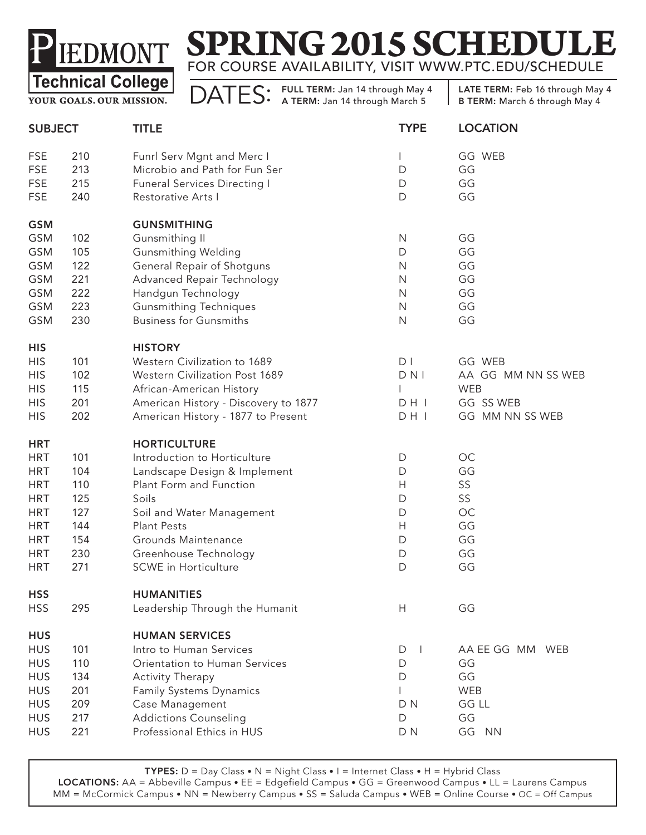# **SPRING 2015 SCHEDULE** FOR COURSE AVAILABILITY, VISIT WWW.PTC.EDU/SCHEDULE

**YOUR GOALS. OUR MISSION.**

DATES: FULL TERM: Jan 14 through May 4

LATE TERM: Feb 16 through May 4 B TERM: March 6 through May 4

| <b>SUBJECT</b> |     | <b>TITLE</b>                         | <b>TYPE</b>    | <b>LOCATION</b>    |
|----------------|-----|--------------------------------------|----------------|--------------------|
| <b>FSE</b>     | 210 | Funrl Serv Mgnt and Merc I           |                | GG WEB             |
| <b>FSE</b>     | 213 | Microbio and Path for Fun Ser        | D              | GG                 |
| <b>FSE</b>     | 215 | <b>Funeral Services Directing I</b>  | D              | GG                 |
| <b>FSE</b>     | 240 | Restorative Arts I                   | $\mathsf D$    | GG                 |
| <b>GSM</b>     |     | <b>GUNSMITHING</b>                   |                |                    |
| <b>GSM</b>     | 102 | Gunsmithing II                       | $\mathsf{N}$   | GG                 |
| <b>GSM</b>     | 105 | <b>Gunsmithing Welding</b>           | D              | GG                 |
| <b>GSM</b>     | 122 | General Repair of Shotguns           | $\mathsf{N}$   | GG                 |
| <b>GSM</b>     | 221 | Advanced Repair Technology           | $\mathsf{N}$   | GG                 |
| <b>GSM</b>     | 222 | Handgun Technology                   | $\mathsf{N}$   | GG                 |
| <b>GSM</b>     | 223 | <b>Gunsmithing Techniques</b>        | $\mathsf{N}$   | GG                 |
| <b>GSM</b>     | 230 | <b>Business for Gunsmiths</b>        | $\mathsf{N}$   | GG                 |
| <b>HIS</b>     |     | <b>HISTORY</b>                       |                |                    |
| <b>HIS</b>     | 101 | Western Civilization to 1689         | D <sub>1</sub> | GG WEB             |
| <b>HIS</b>     | 102 | Western Civilization Post 1689       | D N            | AA GG MM NN SS WEB |
| <b>HIS</b>     | 115 | African-American History             |                | WEB                |
| <b>HIS</b>     | 201 | American History - Discovery to 1877 | DH             | GG SS WEB          |
| <b>HIS</b>     | 202 | American History - 1877 to Present   | DH I           | GG MM NN SS WEB    |
| <b>HRT</b>     |     | <b>HORTICULTURE</b>                  |                |                    |
| <b>HRT</b>     | 101 | Introduction to Horticulture         | D              | OC                 |
| <b>HRT</b>     | 104 | Landscape Design & Implement         | $\mathsf D$    | GG                 |
| <b>HRT</b>     | 110 | Plant Form and Function              | H              | SS                 |
| <b>HRT</b>     | 125 | Soils                                | D              | SS                 |
| <b>HRT</b>     | 127 | Soil and Water Management            | $\mathsf{D}$   | $OC$               |
| <b>HRT</b>     | 144 | <b>Plant Pests</b>                   | H              | GG                 |
| <b>HRT</b>     | 154 | Grounds Maintenance                  | $\mathsf D$    | GG                 |
| <b>HRT</b>     | 230 | Greenhouse Technology                | D              | GG                 |
| <b>HRT</b>     | 271 | <b>SCWE</b> in Horticulture          | $\mathsf D$    | GG                 |
| <b>HSS</b>     |     | <b>HUMANITIES</b>                    |                |                    |
| <b>HSS</b>     | 295 | Leadership Through the Humanit       | H              | GG                 |
| <b>HUS</b>     |     | <b>HUMAN SERVICES</b>                |                |                    |
| <b>HUS</b>     | 101 | Intro to Human Services              | D<br>J.        | AA EE GG MM WEB    |
| <b>HUS</b>     | 110 | Orientation to Human Services        | D              | GG                 |
| <b>HUS</b>     | 134 | <b>Activity Therapy</b>              | D              | GG                 |
| <b>HUS</b>     | 201 | Family Systems Dynamics              |                | WEB                |
| <b>HUS</b>     | 209 | Case Management                      | D <sub>N</sub> | <b>GG LL</b>       |
| <b>HUS</b>     | 217 | <b>Addictions Counseling</b>         | D              | GG                 |
| <b>HUS</b>     | 221 | Professional Ethics in HUS           | D N            | GG<br><b>NN</b>    |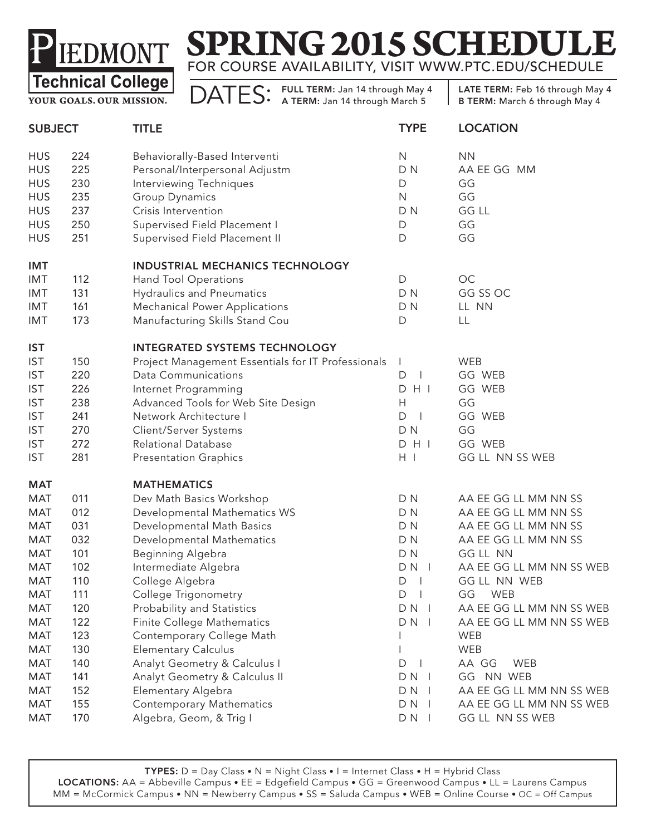# **SPRING 2015 SCHEDULE** FOR COURSE AVAILABILITY, VISIT WWW.PTC.EDU/SCHEDULE

**YOUR GOALS. OUR MISSION.**

DATES: FULL TERM: Jan 14 through May 4

| <b>SUBJECT</b> |     | <b>TITLE</b>                                       | <b>TYPE</b>                   | <b>LOCATION</b>          |
|----------------|-----|----------------------------------------------------|-------------------------------|--------------------------|
| <b>HUS</b>     | 224 | Behaviorally-Based Interventi                      | N                             | <b>NN</b>                |
| <b>HUS</b>     | 225 | Personal/Interpersonal Adjustm                     | D <sub>N</sub>                | AA EE GG MM              |
| <b>HUS</b>     | 230 | Interviewing Techniques                            | D                             | GG                       |
| <b>HUS</b>     | 235 | Group Dynamics                                     | $\mathsf{N}$                  | GG                       |
| <b>HUS</b>     | 237 | Crisis Intervention                                | D <sub>N</sub>                | <b>GG LL</b>             |
| <b>HUS</b>     | 250 | Supervised Field Placement I                       | D                             | GG                       |
| <b>HUS</b>     | 251 | Supervised Field Placement II                      | D                             | GG                       |
| <b>IMT</b>     |     | INDUSTRIAL MECHANICS TECHNOLOGY                    |                               |                          |
| IMT            | 112 | Hand Tool Operations                               | $\mathsf{D}$                  | OC                       |
| <b>IMT</b>     | 131 | <b>Hydraulics and Pneumatics</b>                   | DN                            | GG SS OC                 |
| IMT            | 161 | <b>Mechanical Power Applications</b>               | D N                           | LL NN                    |
| IMT            | 173 | Manufacturing Skills Stand Cou                     | D                             | LL                       |
| <b>IST</b>     |     | <b>INTEGRATED SYSTEMS TECHNOLOGY</b>               |                               |                          |
| <b>IST</b>     | 150 | Project Management Essentials for IT Professionals | -1                            | WEB                      |
| <b>IST</b>     | 220 | <b>Data Communications</b>                         | D<br>$\perp$                  | GG WEB                   |
| <b>IST</b>     | 226 | Internet Programming                               | H<br>D                        | GG WEB                   |
| <b>IST</b>     | 238 | Advanced Tools for Web Site Design                 | Н                             | GG                       |
| <b>IST</b>     | 241 | Network Architecture I                             | D<br>$\overline{\phantom{0}}$ | GG WEB                   |
| <b>IST</b>     | 270 | Client/Server Systems                              | DN                            | GG                       |
| <b>IST</b>     | 272 | Relational Database                                | $D$ H I                       | GG WEB                   |
| <b>IST</b>     | 281 | <b>Presentation Graphics</b>                       | $H$                           | GG LL NN SS WEB          |
| <b>MAT</b>     |     | <b>MATHEMATICS</b>                                 |                               |                          |
| MAT            | 011 | Dev Math Basics Workshop                           | DN                            | AA EE GG LL MM NN SS     |
| MAT            | 012 | Developmental Mathematics WS                       | D N                           | AA EE GG LL MM NN SS     |
| <b>MAT</b>     | 031 | Developmental Math Basics                          | D N                           | AA EE GG LL MM NN SS     |
| <b>MAT</b>     | 032 | Developmental Mathematics                          | D N                           | AA EE GG LL MM NN SS     |
| <b>MAT</b>     | 101 | Beginning Algebra                                  | D N                           | GG LL NN                 |
| <b>MAT</b>     | 102 | Intermediate Algebra                               | $DN$                          | AA EE GG LL MM NN SS WEB |
| <b>MAT</b>     | 110 | College Algebra                                    | D<br>$\perp$                  | GG LL NN WEB             |
| <b>MAT</b>     | 111 | College Trigonometry                               | $D \mid$                      | GG WEB                   |
| <b>MAT</b>     | 120 | Probability and Statistics                         | $DN$                          | AA EE GG LL MM NN SS WEB |
| <b>MAT</b>     | 122 | Finite College Mathematics                         | $DN$                          | AA EE GG LL MM NN SS WEB |
| <b>MAT</b>     | 123 | Contemporary College Math                          |                               | WEB                      |
| <b>MAT</b>     | 130 | <b>Elementary Calculus</b>                         |                               | WEB                      |
| <b>MAT</b>     | 140 | Analyt Geometry & Calculus I                       | D                             | AA GG<br><b>WEB</b>      |
| <b>MAT</b>     | 141 | Analyt Geometry & Calculus II                      | $DN$                          | GG NN WEB                |
| <b>MAT</b>     | 152 | Elementary Algebra                                 | $DN$                          | AA EE GG LL MM NN SS WEB |
| <b>MAT</b>     | 155 | Contemporary Mathematics                           | $DN$                          | AA EE GG LL MM NN SS WEB |
| <b>MAT</b>     | 170 | Algebra, Geom, & Trig I                            | $DN$                          | GG LL NN SS WEB          |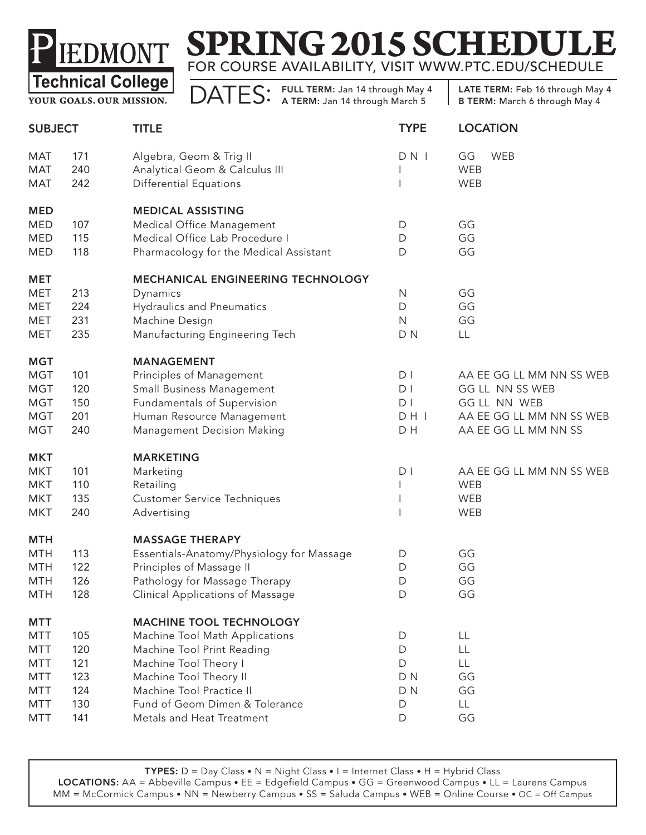

**YOUR GOALS. OUR MISSION.**

DATES: FULL TERM: Jan 14 through May 4

| <b>SUBJECT</b> |     | <b>TITLE</b>                              | <b>TYPE</b>    | <b>LOCATION</b>          |
|----------------|-----|-------------------------------------------|----------------|--------------------------|
| MAT            | 171 | Algebra, Geom & Trig II                   | DN             | GG<br><b>WEB</b>         |
| <b>MAT</b>     | 240 | Analytical Geom & Calculus III            |                | WEB                      |
| MAT            | 242 | <b>Differential Equations</b>             |                | WEB                      |
| <b>MED</b>     |     | <b>MEDICAL ASSISTING</b>                  |                |                          |
| <b>MED</b>     | 107 | Medical Office Management                 | D              | GG                       |
| <b>MED</b>     | 115 | Medical Office Lab Procedure I            | D              | GG                       |
| <b>MED</b>     | 118 | Pharmacology for the Medical Assistant    | D              | GG                       |
| <b>MET</b>     |     | MECHANICAL ENGINEERING TECHNOLOGY         |                |                          |
| MET            | 213 | Dynamics                                  | $\mathsf{N}$   | GG                       |
| MET            | 224 | <b>Hydraulics and Pneumatics</b>          | $\mathsf D$    | GG                       |
| <b>MET</b>     | 231 | Machine Design                            | $\mathsf{N}$   | GG                       |
| MET            | 235 | Manufacturing Engineering Tech            | D <sub>N</sub> | LL                       |
| <b>MGT</b>     |     | <b>MANAGEMENT</b>                         |                |                          |
| <b>MGT</b>     | 101 | Principles of Management                  | D <sub>1</sub> | AA EE GG LL MM NN SS WEB |
| <b>MGT</b>     | 120 | Small Business Management                 | D <sub>1</sub> | GG LL NN SS WEB          |
| <b>MGT</b>     | 150 | Fundamentals of Supervision               | D <sub>1</sub> | GG LL NN WEB             |
| <b>MGT</b>     | 201 | Human Resource Management                 | DH             | AA EE GG LL MM NN SS WEB |
| <b>MGT</b>     | 240 | <b>Management Decision Making</b>         | D H            | AA EE GG LL MM NN SS     |
| <b>MKT</b>     |     | <b>MARKETING</b>                          |                |                          |
| <b>MKT</b>     | 101 | Marketing                                 | D <sub>1</sub> | AA EE GG LL MM NN SS WEB |
| <b>MKT</b>     | 110 | Retailing                                 |                | WEB                      |
| <b>MKT</b>     | 135 | <b>Customer Service Techniques</b>        |                | WEB                      |
| <b>MKT</b>     | 240 | Advertising                               |                | WEB                      |
| <b>MTH</b>     |     | <b>MASSAGE THERAPY</b>                    |                |                          |
| <b>MTH</b>     | 113 | Essentials-Anatomy/Physiology for Massage | D              | GG                       |
| <b>MTH</b>     | 122 | Principles of Massage II                  | D              | GG                       |
| <b>MTH</b>     | 126 | Pathology for Massage Therapy             | D              | GG                       |
| <b>MTH</b>     | 128 | Clinical Applications of Massage          | D              | GG                       |
| <b>MTT</b>     |     | <b>MACHINE TOOL TECHNOLOGY</b>            |                |                          |
| MTT            | 105 | Machine Tool Math Applications            | D              | LL                       |
| <b>MTT</b>     | 120 | Machine Tool Print Reading                | D              | LL                       |
| <b>MTT</b>     | 121 | Machine Tool Theory I                     | D              | LL                       |
| <b>MTT</b>     | 123 | Machine Tool Theory II                    | D <sub>N</sub> | GG                       |
| <b>MTT</b>     | 124 | Machine Tool Practice II                  | D <sub>N</sub> | GG                       |
| <b>MTT</b>     | 130 | Fund of Geom Dimen & Tolerance            | D              | LL.                      |
| <b>MTT</b>     | 141 | Metals and Heat Treatment                 | D              | GG                       |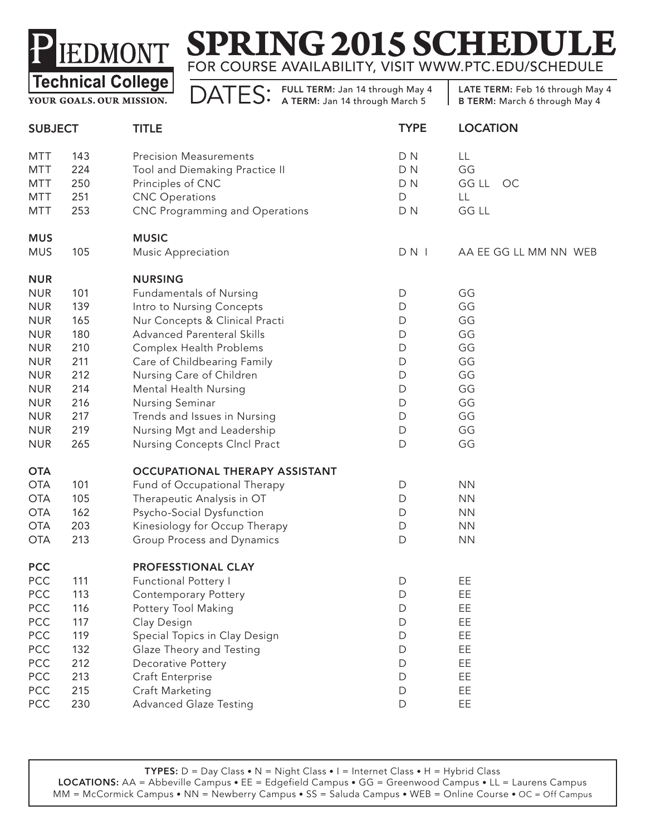# **SPRING 2015 SCHEDUI** FOR COURSE AVAILABILITY, VISIT WWW.PTC.EDU/SCHEDULE

**YOUR GOALS. OUR MISSION.**

DATES: FULL TERM: Jan 14 through May 4

| <b>SUBJECT</b> |     | <b>TITLE</b>                          | <b>TYPE</b>    | <b>LOCATION</b>       |
|----------------|-----|---------------------------------------|----------------|-----------------------|
| <b>MTT</b>     | 143 | <b>Precision Measurements</b>         | D <sub>N</sub> | LL                    |
| <b>MTT</b>     | 224 | Tool and Diemaking Practice II        | D <sub>N</sub> | GG                    |
| <b>MTT</b>     | 250 | Principles of CNC                     | D <sub>N</sub> | GG LL<br>OC           |
| <b>MTT</b>     | 251 | <b>CNC</b> Operations                 | $\mathsf D$    | LL                    |
| <b>MTT</b>     | 253 | <b>CNC Programming and Operations</b> | D <sub>N</sub> | GG LL                 |
| <b>MUS</b>     |     | <b>MUSIC</b>                          |                |                       |
| <b>MUS</b>     | 105 | <b>Music Appreciation</b>             | $DN$           | AA EE GG LL MM NN WEB |
| <b>NUR</b>     |     | <b>NURSING</b>                        |                |                       |
| <b>NUR</b>     | 101 | <b>Fundamentals of Nursing</b>        | D              | GG                    |
| <b>NUR</b>     | 139 | Intro to Nursing Concepts             | D              | GG                    |
| <b>NUR</b>     | 165 | Nur Concepts & Clinical Practi        | D              | GG                    |
| <b>NUR</b>     | 180 | <b>Advanced Parenteral Skills</b>     | D              | GG                    |
| <b>NUR</b>     | 210 | Complex Health Problems               | $\mathsf D$    | GG                    |
| <b>NUR</b>     | 211 | Care of Childbearing Family           | D              | GG                    |
| <b>NUR</b>     | 212 | Nursing Care of Children              | D              | GG                    |
| <b>NUR</b>     | 214 | Mental Health Nursing                 | D              | GG                    |
| <b>NUR</b>     | 216 | Nursing Seminar                       | D              | GG                    |
| <b>NUR</b>     | 217 | Trends and Issues in Nursing          | D              | GG                    |
| <b>NUR</b>     | 219 | Nursing Mgt and Leadership            | D              | GG                    |
| <b>NUR</b>     | 265 | Nursing Concepts Clncl Pract          | D              | GG                    |
| <b>OTA</b>     |     | OCCUPATIONAL THERAPY ASSISTANT        |                |                       |
| <b>OTA</b>     | 101 | Fund of Occupational Therapy          | D              | <b>NN</b>             |
| <b>OTA</b>     | 105 | Therapeutic Analysis in OT            | D              | <b>NN</b>             |
| <b>OTA</b>     | 162 | Psycho-Social Dysfunction             | $\mathsf D$    | <b>NN</b>             |
| <b>OTA</b>     | 203 | Kinesiology for Occup Therapy         | D              | <b>NN</b>             |
| <b>OTA</b>     | 213 | Group Process and Dynamics            | D              | <b>NN</b>             |
| <b>PCC</b>     |     | PROFESSTIONAL CLAY                    |                |                       |
| <b>PCC</b>     | 111 | <b>Functional Pottery I</b>           | D              | EE                    |
| <b>PCC</b>     | 113 | Contemporary Pottery                  | D              | EE                    |
| <b>PCC</b>     | 116 | Pottery Tool Making                   | D              | EE                    |
| PCC            | 117 | Clay Design                           | D              | EE                    |
| PCC            | 119 | Special Topics in Clay Design         | D              | EE                    |
| PCC            | 132 | Glaze Theory and Testing              | D              | EE                    |
| PCC            | 212 | Decorative Pottery                    | D              | EE                    |
| PCC            | 213 | Craft Enterprise                      | D              | EE                    |
| PCC            | 215 | Craft Marketing                       | D              | EE                    |
| PCC            | 230 | <b>Advanced Glaze Testing</b>         | D              | EE                    |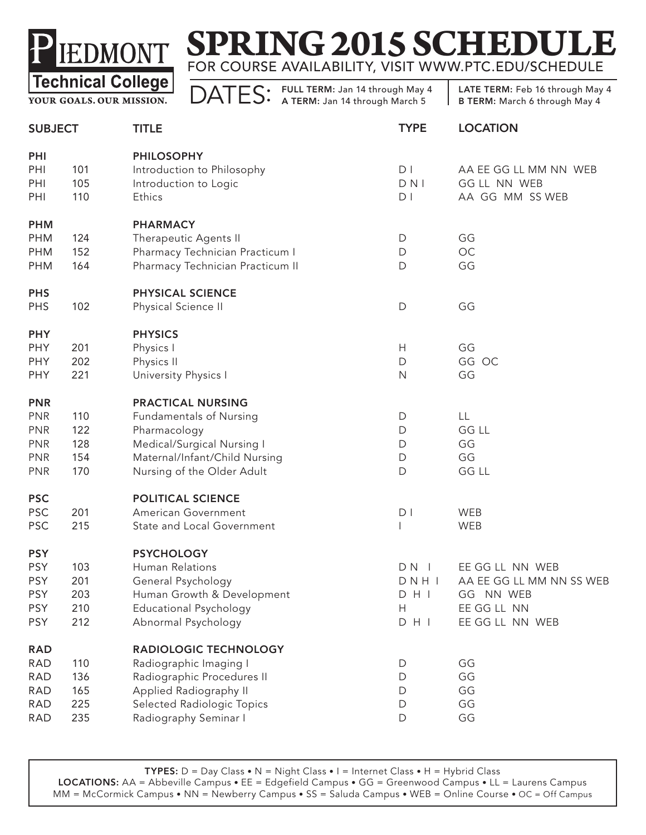

**YOUR GOALS. OUR MISSION.**

DATES: FULL TERM: Jan 14 through May 4

| <b>SUBJECT</b> |     | <b>TITLE</b>                     | <b>TYPE</b>    | <b>LOCATION</b>          |
|----------------|-----|----------------------------------|----------------|--------------------------|
| PHI            |     | <b>PHILOSOPHY</b>                |                |                          |
| PHI            | 101 | Introduction to Philosophy       | D <sub>1</sub> | AA EE GG LL MM NN WEB    |
| PHI            | 105 | Introduction to Logic            | DNI            | <b>GG LL NN WEB</b>      |
| PHI            | 110 | Ethics                           | D <sub>1</sub> | AA GG MM SS WEB          |
| <b>PHM</b>     |     | <b>PHARMACY</b>                  |                |                          |
| <b>PHM</b>     | 124 | Therapeutic Agents II            | D              | GG                       |
| <b>PHM</b>     | 152 | Pharmacy Technician Practicum I  | $\mathsf D$    | OC                       |
| <b>PHM</b>     | 164 | Pharmacy Technician Practicum II | D              | GG                       |
| <b>PHS</b>     |     | PHYSICAL SCIENCE                 |                |                          |
| <b>PHS</b>     | 102 | Physical Science II              | $\mathsf D$    | GG                       |
| <b>PHY</b>     |     | <b>PHYSICS</b>                   |                |                          |
| <b>PHY</b>     | 201 | Physics I                        | H              | GG                       |
| PHY            | 202 | Physics II                       | $\mathsf D$    | GG OC                    |
| <b>PHY</b>     | 221 | University Physics I             | $\mathsf{N}$   | GG                       |
| <b>PNR</b>     |     | <b>PRACTICAL NURSING</b>         |                |                          |
| <b>PNR</b>     | 110 | <b>Fundamentals of Nursing</b>   | D              | LL                       |
| <b>PNR</b>     | 122 | Pharmacology                     | D              | <b>GG LL</b>             |
| <b>PNR</b>     | 128 | Medical/Surgical Nursing I       | D              | GG                       |
| <b>PNR</b>     | 154 | Maternal/Infant/Child Nursing    | D              | GG                       |
| <b>PNR</b>     | 170 | Nursing of the Older Adult       | D              | GG LL                    |
| <b>PSC</b>     |     | POLITICAL SCIENCE                |                |                          |
| <b>PSC</b>     | 201 | American Government              | D <sub>1</sub> | WEB                      |
| <b>PSC</b>     | 215 | State and Local Government       |                | WEB                      |
| <b>PSY</b>     |     | <b>PSYCHOLOGY</b>                |                |                          |
| <b>PSY</b>     | 103 | Human Relations                  | $DN$           | EE GG LL NN WEB          |
| <b>PSY</b>     | 201 | General Psychology               | DNHI           | AA EE GG LL MM NN SS WEB |
| <b>PSY</b>     | 203 | Human Growth & Development       | DHI            | GG NN WEB                |
| <b>PSY</b>     | 210 | <b>Educational Psychology</b>    | Н              | EE GG LL NN              |
| <b>PSY</b>     | 212 | Abnormal Psychology              | $D$ H I        | EE GG LL NN WEB          |
| <b>RAD</b>     |     | RADIOLOGIC TECHNOLOGY            |                |                          |
| <b>RAD</b>     | 110 | Radiographic Imaging I           | D              | GG                       |
| RAD            | 136 | Radiographic Procedures II       | D              | GG                       |
| <b>RAD</b>     | 165 | Applied Radiography II           | D              | GG                       |
| <b>RAD</b>     | 225 | Selected Radiologic Topics       | D              | GG                       |
| RAD            | 235 | Radiography Seminar I            | $\mathsf D$    | GG                       |
|                |     |                                  |                |                          |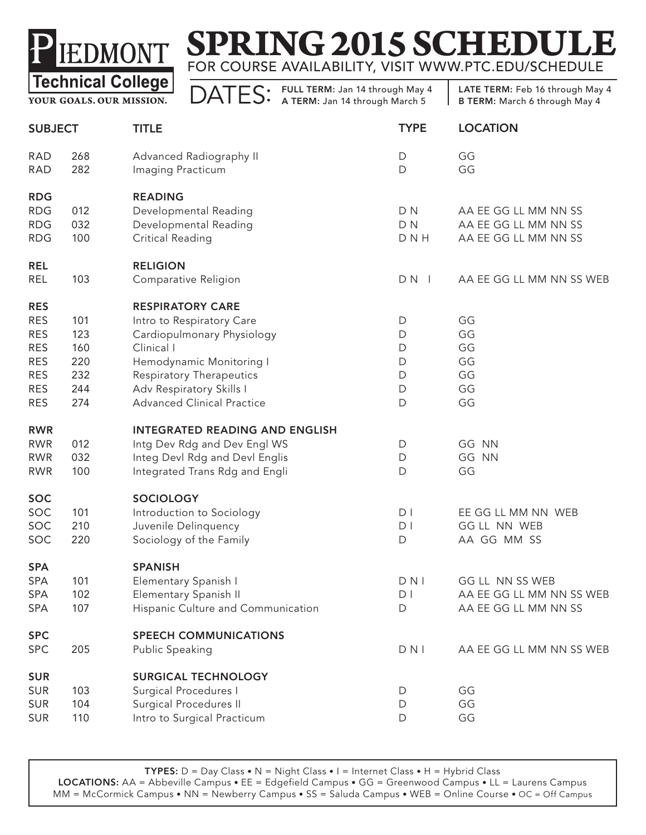

**YOUR GOALS. OUR MISSION.**

DATES: FULL TERM: Jan 14 through May 4

LATE TERM: Feb 16 through May 4 B TERM: March 6 through May 4

| <b>SUBJECT</b>           |            | <b>TITLE</b>                                 | <b>TYPE</b>    | <b>LOCATION</b>          |
|--------------------------|------------|----------------------------------------------|----------------|--------------------------|
| <b>RAD</b><br><b>RAD</b> | 268<br>282 | Advanced Radiography II<br>Imaging Practicum | D<br>D         | GG<br>GG                 |
| <b>RDG</b>               |            | <b>READING</b>                               |                |                          |
| <b>RDG</b>               | 012        | Developmental Reading                        | D <sub>N</sub> | AA EE GG LL MM NN SS     |
| <b>RDG</b>               | 032        | Developmental Reading                        | D <sub>N</sub> | AA EE GG LL MM NN SS     |
| <b>RDG</b>               | 100        | <b>Critical Reading</b>                      | D N H          | AA EE GG LL MM NN SS     |
| <b>REL</b>               |            | <b>RELIGION</b>                              |                |                          |
| REL                      | 103        | Comparative Religion                         | $DN$           | AA EE GG LL MM NN SS WEB |
| <b>RES</b>               |            | <b>RESPIRATORY CARE</b>                      |                |                          |
| <b>RES</b>               | 101        | Intro to Respiratory Care                    | D              | GG                       |
| <b>RES</b>               | 123        | Cardiopulmonary Physiology                   | D              | GG                       |
| <b>RES</b>               | 160        | Clinical I                                   | D              | GG                       |
| <b>RES</b>               | 220        | Hemodynamic Monitoring I                     | $\mathsf D$    | GG                       |
| <b>RES</b>               | 232        | <b>Respiratory Therapeutics</b>              | D              | GG                       |
| <b>RES</b>               | 244        | Adv Respiratory Skills I                     | D              | GG                       |
| <b>RES</b>               | 274        | <b>Advanced Clinical Practice</b>            | D              | GG                       |
| <b>RWR</b>               |            | <b>INTEGRATED READING AND ENGLISH</b>        |                |                          |
| <b>RWR</b>               | 012        | Intg Dev Rdg and Dev Engl WS                 | D              | GG NN                    |
| <b>RWR</b>               | 032        | Integ Devl Rdg and Devl Englis               | D              | GG NN                    |
| <b>RWR</b>               | 100        | Integrated Trans Rdg and Engli               | D              | GG                       |
| <b>SOC</b>               |            | <b>SOCIOLOGY</b>                             |                |                          |
| SOC                      | 101        | Introduction to Sociology                    | D <sub>1</sub> | EE GG LL MM NN WEB       |
| SOC                      | 210        | Juvenile Delinquency                         | D <sub>1</sub> | GG LL NN WEB             |
| SOC                      | 220        | Sociology of the Family                      | $\mathsf D$    | AA GG MM SS              |
| <b>SPA</b>               |            | <b>SPANISH</b>                               |                |                          |
| <b>SPA</b>               | 101        | Elementary Spanish I                         | $D$ N I        | GG LL NN SS WEB          |
| SPA                      | 102        | Elementary Spanish II                        | D <sub>1</sub> | AA EE GG LL MM NN SS WEB |
| <b>SPA</b>               | 107        | Hispanic Culture and Communication           | D              | AA EE GG LL MM NN SS     |
| <b>SPC</b>               |            | <b>SPEECH COMMUNICATIONS</b>                 |                |                          |
| <b>SPC</b>               | 205        | Public Speaking                              | $D$ N I        | AA EE GG LL MM NN SS WEB |
| <b>SUR</b>               |            | <b>SURGICAL TECHNOLOGY</b>                   |                |                          |
| <b>SUR</b>               | 103        | Surgical Procedures I                        | D              | GG                       |
| <b>SUR</b>               | 104        | Surgical Procedures II                       | $\mathsf D$    | GG                       |
| <b>SUR</b>               | 110        | Intro to Surgical Practicum                  | D              | GG                       |